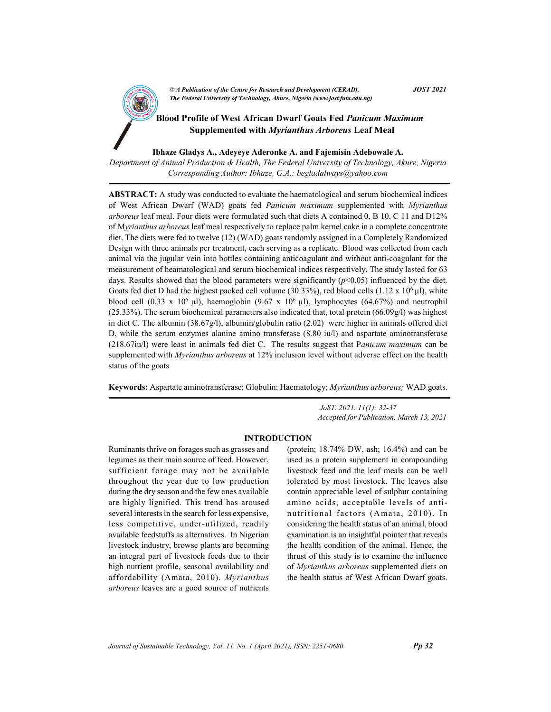CA Publication of the Centre for Kesearch and Development (CEKAD),<br>The Federal University of Technology, Akure, Nigeria (www.jost.futa.edu.ng) © A Publication of the Centre for Research and Development (CERAD),  $JOST 2021$ 

**AND Blood Profile of West African Dwarf Goats Fed Panicum Maximum** Supplemented with Myrianthus Arboreus Leaf Meal

Ibhaze Gladys A., Adeyeye Aderonke A. and Fajemisin Adebowale A.

Department of Animal Production & Health, The Federal University of Technology, Akure, Nigeria Corresponding Author: Ibhaze, G.A.: begladalways@yahoo.com

ABSTRACT: A study was conducted to evaluate the haematological and serum biochemical indices of West African Dwarf (WAD) goats fed Panicum maximum supplemented with Myrianthus arboreus leaf meal. Four diets were formulated such that diets A contained 0, B 10, C 11 and D12% of Myrianthus arboreus leaf meal respectively to replace palm kernel cake in a complete concentrate diet. The diets were fed to twelve (12) (WAD) goats randomly assigned in a Completely Randomized Design with three animals per treatment, each serving as a replicate. Blood was collected from each animal via the jugular vein into bottles containing anticoagulant and without anti-coagulant for the measurement of heamatological and serum biochemical indices respectively. The study lasted for 63 days. Results showed that the blood parameters were significantly  $(p<0.05)$  influenced by the diet. Goats fed diet D had the highest packed cell volume (30.33%), red blood cells (1.12 x 10<sup>6</sup> µl), white blood cell (0.33 x 10<sup>6</sup> µl), haemoglobin (9.67 x 10<sup>6</sup> µl), lymphocytes (64.67%) and neutrophil (25.33%). The serum biochemical parameters also indicated that, total protein (66.09g/l) was highest in diet C. The albumin (38.67g/l), albumin/globulin ratio (2.02) were higher in animals offered diet D, while the serum enzymes alanine amino transferase (8.80 iu/l) and aspartate aminotransferase (218.67iu/l) were least in animals fed diet C. The results suggest that Panicum maximum can be supplemented with *Myrianthus arboreus* at 12% inclusion level without adverse effect on the health status of the goats

Keywords: Aspartate aminotransferase; Globulin; Haematology; Myrianthus arboreus; WAD goats.

 JoST. 2021. 11(1): 32-37 Accepted for Publication, March 13, 2021

## INTRODUCTION

Ruminants thrive on forages such as grasses and legumes as their main source of feed. However, sufficient forage may not be available throughout the year due to low production during the dry season and the few ones available are highly lignified. This trend has aroused several interests in the search for less expensive, less competitive, under-utilized, readily available feedstuffs as alternatives. In Nigerian livestock industry, browse plants are becoming an integral part of livestock feeds due to their high nutrient profile, seasonal availability and affordability (Amata, 2010). Myrianthus arboreus leaves are a good source of nutrients

(protein; 18.74% DW, ash; 16.4%) and can be used as a protein supplement in compounding livestock feed and the leaf meals can be well tolerated by most livestock. The leaves also contain appreciable level of sulphur containing amino acids, acceptable levels of antinutritional factors (Amata, 2010). In considering the health status of an animal, blood examination is an insightful pointer that reveals the health condition of the animal. Hence, the thrust of this study is to examine the influence of Myrianthus arboreus supplemented diets on the health status of West African Dwarf goats.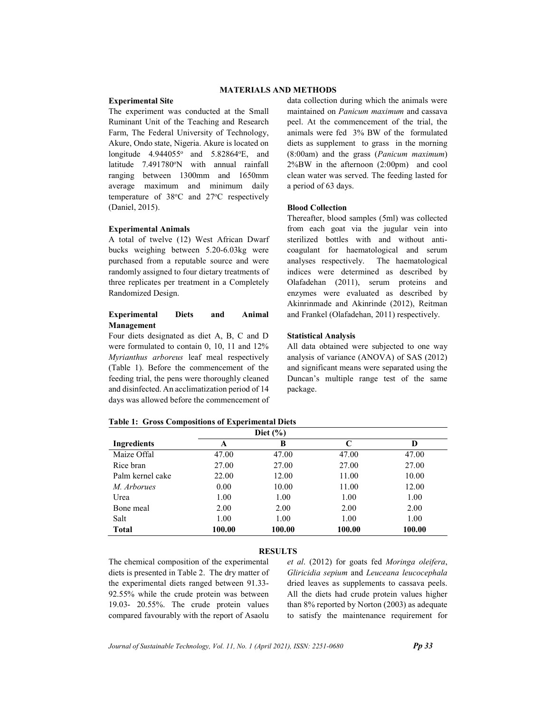# MATERIALS AND METHODS

### Experimental Site

The experiment was conducted at the Small Ruminant Unit of the Teaching and Research Farm, The Federal University of Technology, Akure, Ondo state, Nigeria. Akure is located on longitude  $4.944055^{\circ}$  and  $5.82864^{\circ}$ E, and latitude 7.491780°N with annual rainfall ranging between 1300mm and 1650mm average maximum and minimum daily temperature of  $38^{\circ}$ C and  $27^{\circ}$ C respectively (Daniel, 2015).

### Experimental Animals

A total of twelve (12) West African Dwarf bucks weighing between 5.20-6.03kg were purchased from a reputable source and were randomly assigned to four dietary treatments of three replicates per treatment in a Completely Randomized Design.

# Experimental Diets and Animal Management

Four diets designated as diet A, B, C and D were formulated to contain 0, 10, 11 and 12% Myrianthus arboreus leaf meal respectively (Table 1). Before the commencement of the feeding trial, the pens were thoroughly cleaned and disinfected. An acclimatization period of 14 days was allowed before the commencement of data collection during which the animals were maintained on Panicum maximum and cassava peel. At the commencement of the trial, the animals were fed 3% BW of the formulated diets as supplement to grass in the morning (8:00am) and the grass (Panicum maximum) 2%BW in the afternoon (2:00pm) and cool clean water was served. The feeding lasted for a period of 63 days.

# Blood Collection

Thereafter, blood samples (5ml) was collected from each goat via the jugular vein into sterilized bottles with and without anticoagulant for haematological and serum analyses respectively. The haematological indices were determined as described by Olafadehan (2011), serum proteins and enzymes were evaluated as described by Akinrinmade and Akinrinde (2012), Reitman and Frankel (Olafadehan, 2011) respectively.

## Statistical Analysis

All data obtained were subjected to one way analysis of variance (ANOVA) of SAS (2012) and significant means were separated using the Duncan's multiple range test of the same package.

| Ingredients      | A      | В      | C      | D      |
|------------------|--------|--------|--------|--------|
| Maize Offal      | 47.00  | 47.00  | 47.00  | 47.00  |
| Rice bran        | 27.00  | 27.00  | 27.00  | 27.00  |
| Palm kernel cake | 22.00  | 12.00  | 11.00  | 10.00  |
| M. Arborues      | 0.00   | 10.00  | 11.00  | 12.00  |
| Urea             | 1.00   | 1.00   | 1.00   | 1.00   |
| Bone meal        | 2.00   | 2.00   | 2.00   | 2.00   |
| Salt             | 1.00   | 1.00   | 1.00   | 1.00   |
| Total            | 100.00 | 100.00 | 100.00 | 100.00 |

#### Table 1: Gross Compositions of Experimental Diets

# **RESULTS**

The chemical composition of the experimental diets is presented in Table 2. The dry matter of the experimental diets ranged between 91.33- 92.55% while the crude protein was between 19.03- 20.55%. The crude protein values compared favourably with the report of Asaolu et al. (2012) for goats fed Moringa oleifera, Gliricidia sepium and Leuceana leucocephala dried leaves as supplements to cassava peels. All the diets had crude protein values higher than 8% reported by Norton (2003) as adequate to satisfy the maintenance requirement for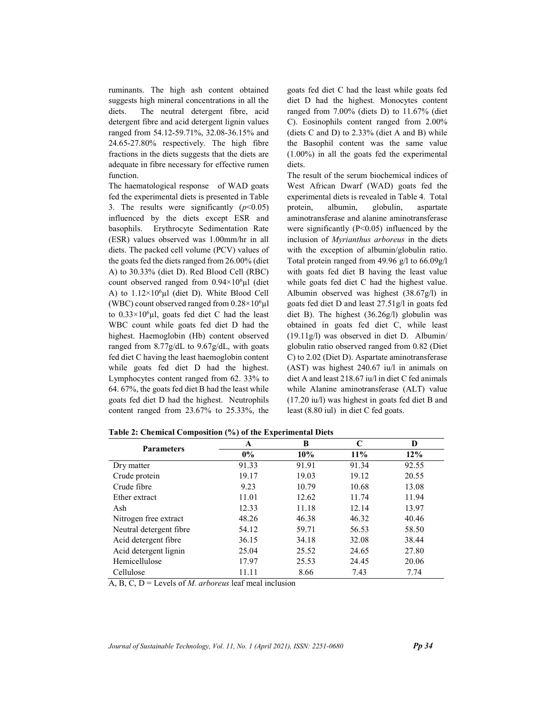ruminants. The high ash content obtained suggests high mineral concentrations in all the diets. The neutral detergent fibre, acid detergent fibre and acid detergent lignin values ranged from 54.12-59.71%, 32.08-36.15% and 24.65-27.80% respectively. The high fibre fractions in the diets suggests that the diets are adequate in fibre necessary for effective rumen function.

The haematological response of WAD goats fed the experimental diets is presented in Table 3. The results were significantly  $(p<0.05)$ influenced by the diets except ESR and basophils. Erythrocyte Sedimentation Rate (ESR) values observed was 1.00mm/hr in all diets. The packed cell volume (PCV) values of the goats fed the diets ranged from 26.00% (diet A) to 30.33% (diet D). Red Blood Cell (RBC) count observed ranged from  $0.94 \times 10^6 \mu l$  (diet A) to  $1.12 \times 10^6$ µl (diet D). White Blood Cell (WBC) count observed ranged from  $0.28 \times 10^6 \mu$ l to  $0.33 \times 10^6$ µl, goats fed diet C had the least WBC count while goats fed diet D had the highest. Haemoglobin (Hb) content observed ranged from 8.77g/dL to 9.67g/dL, with goats fed diet C having the least haemoglobin content while goats fed diet D had the highest. Lymphocytes content ranged from 62. 33% to 64. 67%, the goats fed diet B had the least while goats fed diet D had the highest. Neutrophils content ranged from 23.67% to 25.33%, the

goats fed diet C had the least while goats fed diet D had the highest. Monocytes content ranged from 7.00% (diets D) to 11.67% (diet C). Eosinophils content ranged from 2.00% (diets C and D) to 2.33% (diet A and B) while the Basophil content was the same value (1.00%) in all the goats fed the experimental diets.

The result of the serum biochemical indices of West African Dwarf (WAD) goats fed the experimental diets is revealed in Table 4. Total protein, albumin, globulin, aspartate aminotransferase and alanine aminotransferase were significantly  $(P<0.05)$  influenced by the inclusion of Myrianthus arboreus in the diets with the exception of albumin/globulin ratio. Total protein ranged from 49.96 g/l to 66.09g/l with goats fed diet B having the least value while goats fed diet C had the highest value. Albumin observed was highest (38.67g/l) in goats fed diet D and least 27.51g/l in goats fed diet B). The highest (36.26g/l) globulin was obtained in goats fed diet C, while least (19.11g/l) was observed in diet D. Albumin/ globulin ratio observed ranged from 0.82 (Diet C) to 2.02 (Diet D). Aspartate aminotransferase (AST) was highest 240.67 iu/l in animals on diet A and least 218.67 iu/l in diet C fed animals while Alanine aminotransferase (ALT) value (17.20 iu/l) was highest in goats fed diet B and least (8.80 iul) in diet C fed goats.

|                         | A     | B     | C     | D     |  |
|-------------------------|-------|-------|-------|-------|--|
| <b>Parameters</b>       | $0\%$ | 10%   | 11%   | 12%   |  |
| Dry matter              | 91.33 | 91.91 | 91.34 | 92.55 |  |
| Crude protein           | 19.17 | 19.03 | 19.12 | 20.55 |  |
| Crude fibre             | 9.23  | 10.79 | 10.68 | 13.08 |  |
| Ether extract           | 11.01 | 12.62 | 11.74 | 11.94 |  |
| Ash                     | 12.33 | 11.18 | 12.14 | 13.97 |  |
| Nitrogen free extract   | 48.26 | 46.38 | 46.32 | 40.46 |  |
| Neutral detergent fibre | 54.12 | 59.71 | 56.53 | 58.50 |  |
| Acid detergent fibre    | 36.15 | 34.18 | 32.08 | 38.44 |  |
| Acid detergent lignin   | 25.04 | 25.52 | 24.65 | 27.80 |  |
| Hemicellulose           | 17.97 | 25.53 | 24.45 | 20.06 |  |
| Cellulose               | 11.11 | 8.66  | 7.43  | 7.74  |  |

Table 2: Chemical Composition (%) of the Experimental Diets

 $\overline{A}$ , B, C, D = Levels of *M. arboreus* leaf meal inclusion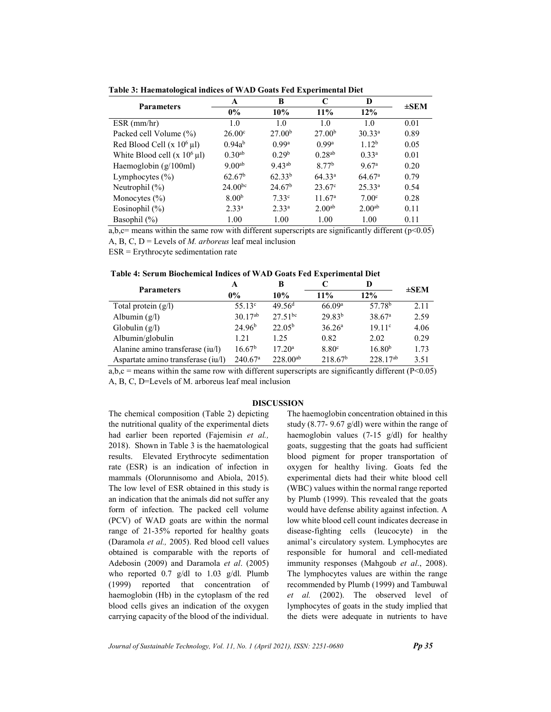|                                   | A                  | B                  | C                  | D                  |           |  |
|-----------------------------------|--------------------|--------------------|--------------------|--------------------|-----------|--|
| <b>Parameters</b>                 | $0\%$              | 10%                | 11%                | 12%                | $\pm$ SEM |  |
| $ESR$ (mm/hr)                     | 1.0                | 1.0                | 1.0                | 1.0                | 0.01      |  |
| Packed cell Volume (%)            | 26.00 <sup>c</sup> | 27.00 <sup>b</sup> | 27.00 <sup>b</sup> | $30.33^{a}$        | 0.89      |  |
| Red Blood Cell (x $10^6$ µl)      | $0.94a^{b}$        | 0.99a              | 0.99a              | 1.12 <sup>b</sup>  | 0.05      |  |
| White Blood cell $(x 10^6 \mu l)$ | $0.30^{ab}$        | 0.29 <sup>b</sup>  | $0.28^{ab}$        | $0.33^{a}$         | 0.01      |  |
| Haemoglobin (g/100ml)             | $9.00^{ab}$        | $9.43^{ab}$        | 8.77 <sup>b</sup>  | 9.67 <sup>a</sup>  | 0.20      |  |
| Lymphocytes $(\% )$               | 62.67 <sup>b</sup> | $62.33^{b}$        | 64.33 <sup>a</sup> | 64.67 <sup>a</sup> | 0.79      |  |
| Neutrophil $(\%)$                 | $24.00^{bc}$       | 24.67 <sup>b</sup> | $23.67^{\circ}$    | $25.33^{a}$        | 0.54      |  |
| Monocytes $(\% )$                 | 8.00 <sup>b</sup>  | 7.33c              | 11.67 <sup>a</sup> | 7.00 <sup>c</sup>  | 0.28      |  |
| Eosinophil $(\%)$                 | $2.33^{a}$         | $2.33^{a}$         | 2.00 <sup>ab</sup> | 2.00 <sup>ab</sup> | 0.11      |  |
| Basophil (%)                      | 1.00               | 1.00               | 1.00               | 1.00               | 0.11      |  |

Table 3: Haematological indices of WAD Goats Fed Experimental Diet

a,b,c= means within the same row with different superscripts are significantly different ( $p$ <0.05) A, B, C,  $D =$  Levels of *M. arboreus* leaf meal inclusion

ESR = Erythrocyte sedimentation rate

| <b>Parameters</b>                  | A                     | в                  |                     | D                  | $\pm$ SEM |
|------------------------------------|-----------------------|--------------------|---------------------|--------------------|-----------|
|                                    | $0\%$                 | 10%                | $11\%$              | 12%                |           |
| Total protein $(g/l)$              | $55.13^{\circ}$       | 49.56 <sup>d</sup> | 66.09a              | 57.78 <sup>b</sup> | 2.11      |
| Albumin $(g/l)$                    | $30.17^{ab}$          | $27.51^{bc}$       | 29.83 <sup>b</sup>  | 38.67 <sup>a</sup> | 2.59      |
| Globulin $(g/l)$                   | 24.96 <sup>b</sup>    | $22.05^{\rm b}$    | 36.26 <sup>a</sup>  | 19.11 <sup>c</sup> | 4.06      |
| Albumin/globulin                   | 1.21                  | 1.25               | 0.82                | 2.02               | 0.29      |
| Alanine amino transferase (iu/l)   | 16.67 <sup>b</sup>    | $17.20^a$          | 8.80 <sup>c</sup>   | 16.80 <sup>b</sup> | 1.73      |
| Aspartate amino transferase (iu/l) | $240.67$ <sup>a</sup> | $228.00^{ab}$      | 218.67 <sup>b</sup> | $228.17^{ab}$      | 3.51      |

a,b,c = means within the same row with different superscripts are significantly different  $(P<0.05)$ A, B, C, D=Levels of M. arboreus leaf meal inclusion

#### DISCUSSION

The chemical composition (Table 2) depicting the nutritional quality of the experimental diets had earlier been reported (Fajemisin et al., 2018). Shown in Table 3 is the haematological results. Elevated Erythrocyte sedimentation rate (ESR) is an indication of infection in mammals (Olorunnisomo and Abiola, 2015). The low level of ESR obtained in this study is an indication that the animals did not suffer any form of infection. The packed cell volume (PCV) of WAD goats are within the normal range of 21-35% reported for healthy goats (Daramola et al., 2005). Red blood cell values obtained is comparable with the reports of Adebosin (2009) and Daramola et al. (2005) who reported 0.7 g/dl to 1.03 g/dl. Plumb (1999) reported that concentration of haemoglobin (Hb) in the cytoplasm of the red blood cells gives an indication of the oxygen carrying capacity of the blood of the individual.

The haemoglobin concentration obtained in this study (8.77- 9.67 g/dl) were within the range of haemoglobin values (7-15 g/dl) for healthy goats, suggesting that the goats had sufficient blood pigment for proper transportation of oxygen for healthy living. Goats fed the experimental diets had their white blood cell (WBC) values within the normal range reported by Plumb (1999). This revealed that the goats would have defense ability against infection. A low white blood cell count indicates decrease in disease-fighting cells (leucocyte) in the animal's circulatory system. Lymphocytes are responsible for humoral and cell-mediated immunity responses (Mahgoub et al., 2008). The lymphocytes values are within the range recommended by Plumb (1999) and Tambuwal et al. (2002). The observed level of lymphocytes of goats in the study implied that the diets were adequate in nutrients to have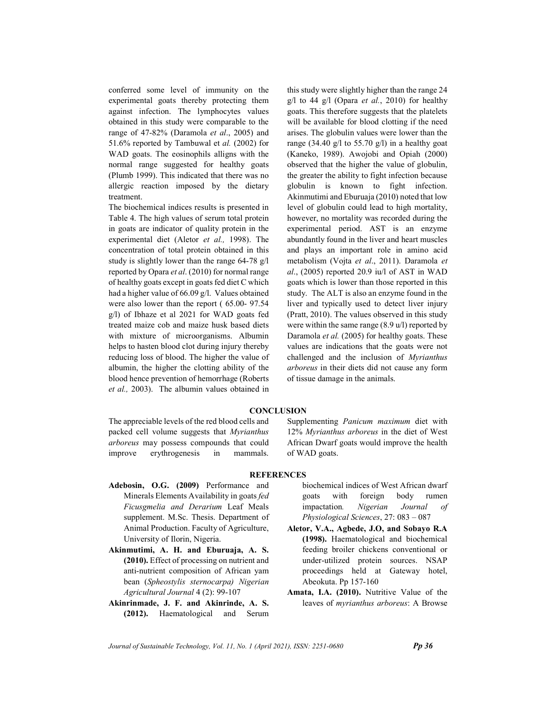conferred some level of immunity on the experimental goats thereby protecting them against infection. The lymphocytes values obtained in this study were comparable to the range of 47-82% (Daramola et al., 2005) and 51.6% reported by Tambuwal et al. (2002) for WAD goats. The eosinophils alligns with the normal range suggested for healthy goats (Plumb 1999). This indicated that there was no allergic reaction imposed by the dietary treatment.

The biochemical indices results is presented in Table 4. The high values of serum total protein in goats are indicator of quality protein in the experimental diet (Aletor et al., 1998). The concentration of total protein obtained in this study is slightly lower than the range 64-78 g/l reported by Opara et al. (2010) for normal range of healthy goats except in goats fed diet C which had a higher value of 66.09 g/l. Values obtained were also lower than the report ( 65.00- 97.54 g/l) of Ibhaze et al 2021 for WAD goats fed treated maize cob and maize husk based diets with mixture of microorganisms. Albumin helps to hasten blood clot during injury thereby reducing loss of blood. The higher the value of albumin, the higher the clotting ability of the blood hence prevention of hemorrhage (Roberts et al., 2003). The albumin values obtained in this study were slightly higher than the range 24  $g/$ l to 44  $g/$ l (Opara *et al.*, 2010) for healthy goats. This therefore suggests that the platelets will be available for blood clotting if the need arises. The globulin values were lower than the range (34.40 g/l to 55.70 g/l) in a healthy goat (Kaneko, 1989). Awojobi and Opiah (2000) observed that the higher the value of globulin, the greater the ability to fight infection because globulin is known to fight infection. Akinmutimi and Eburuaja (2010) noted that low level of globulin could lead to high mortality, however, no mortality was recorded during the experimental period. AST is an enzyme abundantly found in the liver and heart muscles and plays an important role in amino acid metabolism (Vojta et al., 2011). Daramola et al., (2005) reported 20.9 iu/l of AST in WAD goats which is lower than those reported in this study. The ALT is also an enzyme found in the liver and typically used to detect liver injury (Pratt, 2010). The values observed in this study were within the same range (8.9 u/l) reported by Daramola et al. (2005) for healthy goats. These values are indications that the goats were not challenged and the inclusion of Myrianthus arboreus in their diets did not cause any form of tissue damage in the animals.

## **CONCLUSION**

The appreciable levels of the red blood cells and packed cell volume suggests that Myrianthus arboreus may possess compounds that could improve erythrogenesis in mammals.

Supplementing Panicum maximum diet with 12% Myrianthus arboreus in the diet of West African Dwarf goats would improve the health of WAD goats.

### **REFERENCES**

- Adebosin, O.G. (2009) Performance and Minerals Elements Availability in goats fed Ficusgmelia and Derarium Leaf Meals supplement. M.Sc. Thesis. Department of Animal Production. Faculty of Agriculture, University of Ilorin, Nigeria.
- Akinmutimi, A. H. and Eburuaja, A. S. (2010). Effect of processing on nutrient and anti-nutrient composition of African yam bean (Spheostylis sternocarpa) Nigerian Agricultural Journal 4 (2): 99-107
- Akinrinmade, J. F. and Akinrinde, A. S. (2012). Haematological and Serum

biochemical indices of West African dwarf goats with foreign body rumen impactation. Nigerian Journal of Physiological Sciences, 27: 083 – 087

- Aletor, V.A., Agbede, J.O, and Sobayo R.A (1998). Haematological and biochemical feeding broiler chickens conventional or under-utilized protein sources. NSAP proceedings held at Gateway hotel, Abeokuta. Pp 157-160
- Amata, I.A. (2010). Nutritive Value of the leaves of myrianthus arboreus: A Browse

Journal of Sustainable Technology, Vol. 11, No. 1 (April 2021), ISSN:  $2251-0680$  Pp 36